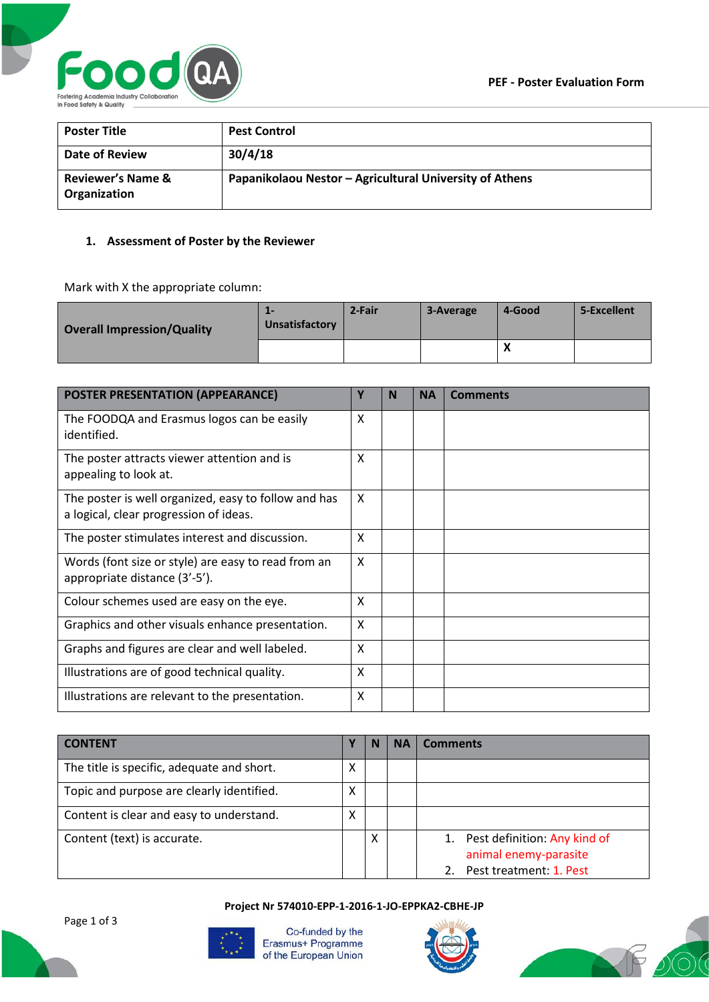

| <b>Poster Title</b>                          | <b>Pest Control</b>                                     |
|----------------------------------------------|---------------------------------------------------------|
| Date of Review                               | 30/4/18                                                 |
| <b>Reviewer's Name &amp;</b><br>Organization | Papanikolaou Nestor - Agricultural University of Athens |

## **1. Assessment of Poster by the Reviewer**

Mark with X the appropriate column:

| <b>Overall Impression/Quality</b> | --<br>Unsatisfactory | 2-Fair | 3-Average | 4-Good    | 5-Excellent |
|-----------------------------------|----------------------|--------|-----------|-----------|-------------|
|                                   |                      |        |           | $\lambda$ |             |

| <b>POSTER PRESENTATION (APPEARANCE)</b>                                                        | Υ | N | <b>NA</b> | <b>Comments</b> |
|------------------------------------------------------------------------------------------------|---|---|-----------|-----------------|
| The FOODQA and Erasmus logos can be easily<br>identified.                                      | X |   |           |                 |
| The poster attracts viewer attention and is<br>appealing to look at.                           | X |   |           |                 |
| The poster is well organized, easy to follow and has<br>a logical, clear progression of ideas. | X |   |           |                 |
| The poster stimulates interest and discussion.                                                 | X |   |           |                 |
| Words (font size or style) are easy to read from an<br>appropriate distance (3'-5').           | X |   |           |                 |
| Colour schemes used are easy on the eye.                                                       | X |   |           |                 |
| Graphics and other visuals enhance presentation.                                               | X |   |           |                 |
| Graphs and figures are clear and well labeled.                                                 | X |   |           |                 |
| Illustrations are of good technical quality.                                                   | X |   |           |                 |
| Illustrations are relevant to the presentation.                                                | X |   |           |                 |

| <b>CONTENT</b>                             |   | N | ΝA | <b>Comments</b>                                                                     |
|--------------------------------------------|---|---|----|-------------------------------------------------------------------------------------|
| The title is specific, adequate and short. | X |   |    |                                                                                     |
| Topic and purpose are clearly identified.  | X |   |    |                                                                                     |
| Content is clear and easy to understand.   | Χ |   |    |                                                                                     |
| Content (text) is accurate.                |   | x |    | 1. Pest definition: Any kind of<br>animal enemy-parasite<br>Pest treatment: 1. Pest |

**Project Nr 574010-EPP-1-2016-1-JO-EPPKA2-CBHE-JP**



Co-funded by the Erasmus+ Programme of the European Union



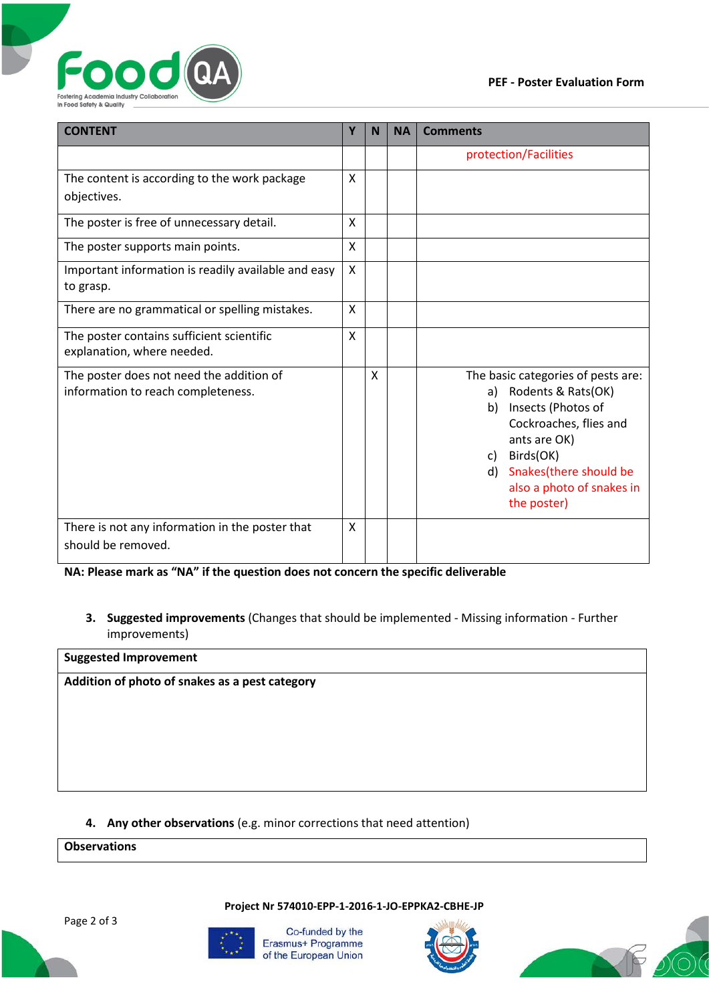

| <b>CONTENT</b>                                                                 |   | N | <b>NA</b> | <b>Comments</b>                                                                                                                                                                                                                  |  |
|--------------------------------------------------------------------------------|---|---|-----------|----------------------------------------------------------------------------------------------------------------------------------------------------------------------------------------------------------------------------------|--|
|                                                                                |   |   |           | protection/Facilities                                                                                                                                                                                                            |  |
| The content is according to the work package<br>objectives.                    | X |   |           |                                                                                                                                                                                                                                  |  |
| The poster is free of unnecessary detail.                                      | X |   |           |                                                                                                                                                                                                                                  |  |
| The poster supports main points.                                               | X |   |           |                                                                                                                                                                                                                                  |  |
| Important information is readily available and easy<br>to grasp.               | X |   |           |                                                                                                                                                                                                                                  |  |
| There are no grammatical or spelling mistakes.                                 | X |   |           |                                                                                                                                                                                                                                  |  |
| The poster contains sufficient scientific<br>explanation, where needed.        | X |   |           |                                                                                                                                                                                                                                  |  |
| The poster does not need the addition of<br>information to reach completeness. |   | X |           | The basic categories of pests are:<br>Rodents & Rats(OK)<br>a)<br>Insects (Photos of<br>b)<br>Cockroaches, flies and<br>ants are OK)<br>Birds(OK)<br>c)<br>d) Snakes(there should be<br>also a photo of snakes in<br>the poster) |  |
| There is not any information in the poster that<br>should be removed.          | X |   |           |                                                                                                                                                                                                                                  |  |

**NA: Please mark as "NA" if the question does not concern the specific deliverable**

**3. Suggested improvements** (Changes that should be implemented - Missing information - Further improvements)

| <b>Suggested Improvement</b>                   |  |
|------------------------------------------------|--|
| Addition of photo of snakes as a pest category |  |
|                                                |  |
|                                                |  |
|                                                |  |
|                                                |  |
|                                                |  |

## **4. Any other observations** (e.g. minor corrections that need attention)

## **Observations**

Page 2 of 3



Co-funded by the Erasmus+ Programme of the European Union